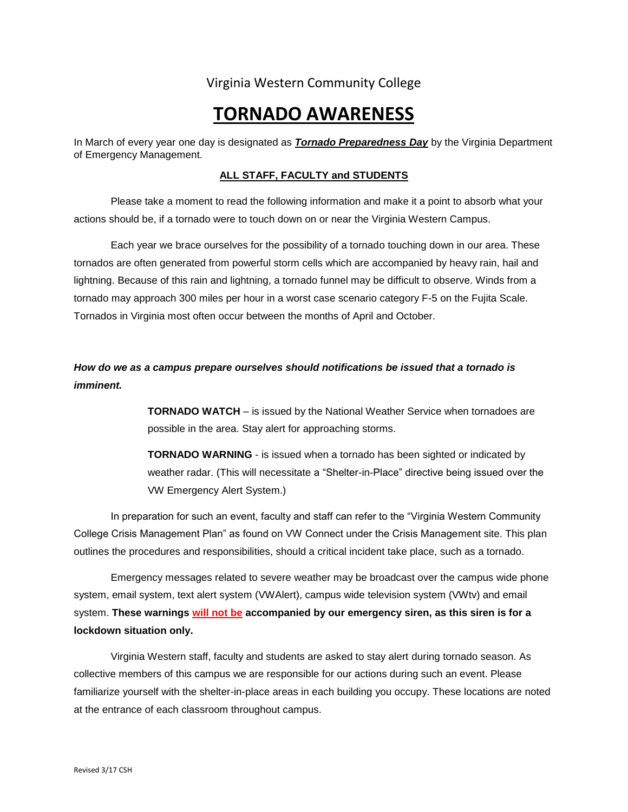# Virginia Western Community College

# **TORNADO AWARENESS**

In March of every year one day is designated as *Tornado Preparedness Day* by the Virginia Department of Emergency Management.

## **ALL STAFF, FACULTY and STUDENTS**

Please take a moment to read the following information and make it a point to absorb what your actions should be, if a tornado were to touch down on or near the Virginia Western Campus.

Each year we brace ourselves for the possibility of a tornado touching down in our area. These tornados are often generated from powerful storm cells which are accompanied by heavy rain, hail and lightning. Because of this rain and lightning, a tornado funnel may be difficult to observe. Winds from a tornado may approach 300 miles per hour in a worst case scenario category F-5 on the Fujita Scale. Tornados in Virginia most often occur between the months of April and October.

# *How do we as a campus prepare ourselves should notifications be issued that a tornado is imminent.*

**TORNADO WATCH** – is issued by the National Weather Service when tornadoes are possible in the area. Stay alert for approaching storms.

**TORNADO WARNING** - is issued when a tornado has been sighted or indicated by weather radar. (This will necessitate a "Shelter-in-Place" directive being issued over the VW Emergency Alert System.)

In preparation for such an event, faculty and staff can refer to the "Virginia Western Community College Crisis Management Plan" as found on VW Connect under the Crisis Management site. This plan outlines the procedures and responsibilities, should a critical incident take place, such as a tornado.

Emergency messages related to severe weather may be broadcast over the campus wide phone system, email system, text alert system (VWAlert), campus wide television system (VWtv) and email system. **These warnings will not be accompanied by our emergency siren, as this siren is for a lockdown situation only.** 

Virginia Western staff, faculty and students are asked to stay alert during tornado season. As collective members of this campus we are responsible for our actions during such an event. Please familiarize yourself with the shelter-in-place areas in each building you occupy. These locations are noted at the entrance of each classroom throughout campus.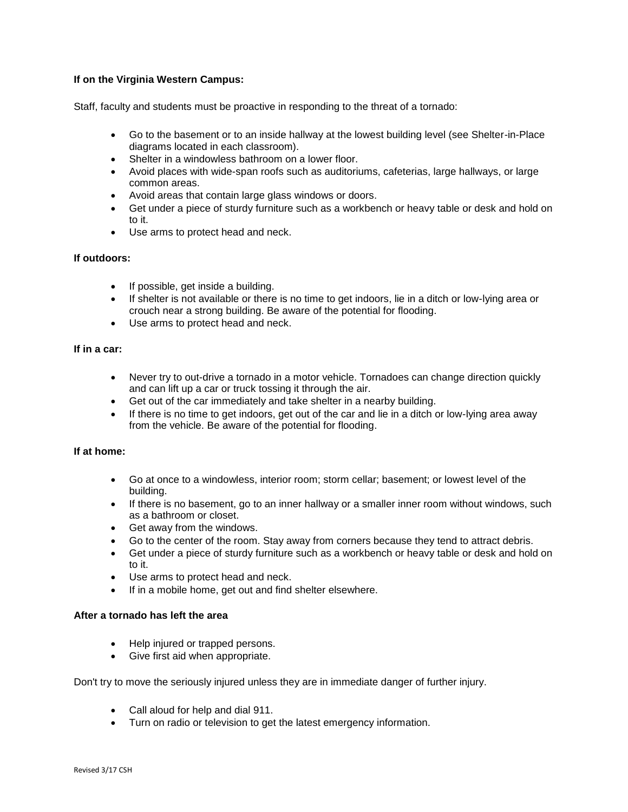# **If on the Virginia Western Campus:**

Staff, faculty and students must be proactive in responding to the threat of a tornado:

- Go to the basement or to an inside hallway at the lowest building level (see Shelter-in-Place diagrams located in each classroom).
- Shelter in a windowless bathroom on a lower floor.
- Avoid places with wide-span roofs such as auditoriums, cafeterias, large hallways, or large common areas.
- Avoid areas that contain large glass windows or doors.
- Get under a piece of sturdy furniture such as a workbench or heavy table or desk and hold on to it.
- Use arms to protect head and neck.

#### **If outdoors:**

- If possible, get inside a building.
- If shelter is not available or there is no time to get indoors, lie in a ditch or low-lying area or crouch near a strong building. Be aware of the potential for flooding.
- Use arms to protect head and neck.

#### **If in a car:**

- Never try to out-drive a tornado in a motor vehicle. Tornadoes can change direction quickly and can lift up a car or truck tossing it through the air.
- Get out of the car immediately and take shelter in a nearby building.
- $\bullet$  If there is no time to get indoors, get out of the car and lie in a ditch or low-lying area away from the vehicle. Be aware of the potential for flooding.

## **If at home:**

- Go at once to a windowless, interior room; storm cellar; basement; or lowest level of the building.
- If there is no basement, go to an inner hallway or a smaller inner room without windows, such as a bathroom or closet.
- Get away from the windows.
- Go to the center of the room. Stay away from corners because they tend to attract debris.
- Get under a piece of sturdy furniture such as a workbench or heavy table or desk and hold on to it.
- Use arms to protect head and neck.
- If in a mobile home, get out and find shelter elsewhere.

## **After a tornado has left the area**

- Help injured or trapped persons.
- Give first aid when appropriate.

Don't try to move the seriously injured unless they are in immediate danger of further injury.

- Call aloud for help and dial 911.
- Turn on radio or television to get the latest emergency information.